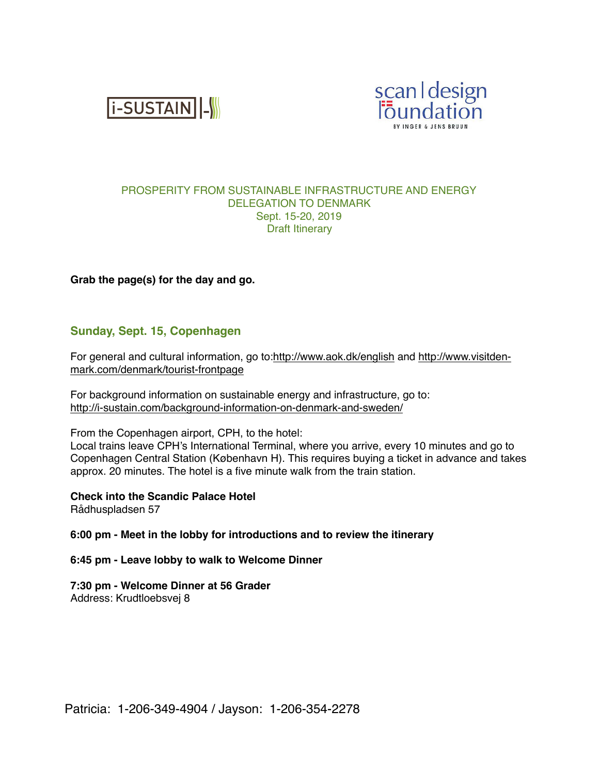**i-SUSTAIN** |-



## PROSPERITY FROM SUSTAINABLE INFRASTRUCTURE AND ENERGY DELEGATION TO DENMARK Sept. 15-20, 2019 Draft Itinerary

## **Grab the page(s) for the day and go.**

# **Sunday, Sept. 15, Copenhagen**

For general and cultural information, go to[:http://www.aok.dk/english](http://www.aok.dk/english) and [http://www.visitden](http://www.visitdenmark.com/denmark/tourist-frontpage)[mark.com/denmark/tourist-frontpage](http://www.visitdenmark.com/denmark/tourist-frontpage)

For background information on sustainable energy and infrastructure, go to: <http://i-sustain.com/background-information-on-denmark-and-sweden/>

From the Copenhagen airport, CPH, to the hotel:

Local trains leave CPH's International Terminal, where you arrive, every 10 minutes and go to Copenhagen Central Station (København H). This requires buying a ticket in advance and takes approx. 20 minutes. The hotel is a five minute walk from the train station.

**Check into the Scandic Palace Hotel**

Rådhuspladsen 57

#### **6:00 pm - Meet in the lobby for introductions and to review the itinerary**

**6:45 pm - Leave lobby to walk to Welcome Dinner**

## **7:30 pm - Welcome Dinner at 56 Grader**

Address: Krudtloebsvej 8

Patricia: 1-206-349-4904 / Jayson: 1-206-354-2278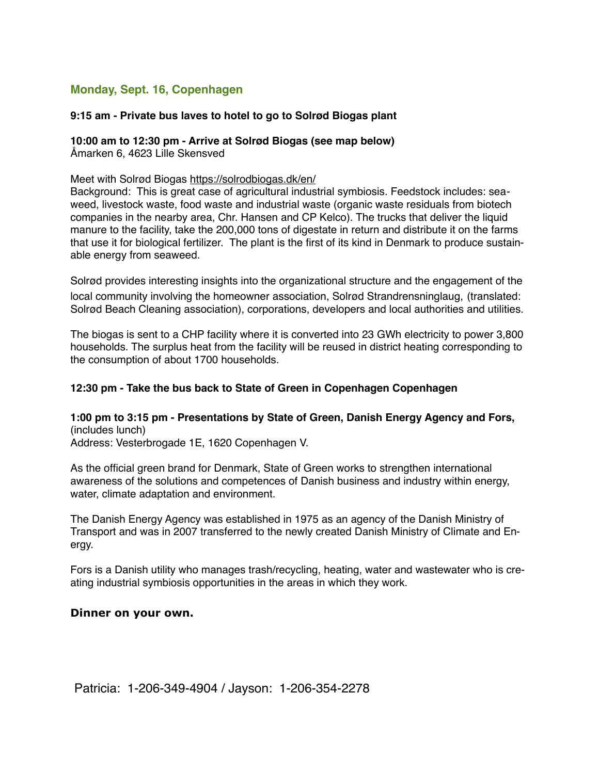# **Monday, Sept. 16, Copenhagen**

## **9:15 am - Private bus laves to hotel to go to Solrød Biogas plant**

#### **10:00 am to 12:30 pm - Arrive at Solrød Biogas (see map below)** Åmarken 6, 4623 Lille Skensved

#### Meet with Solrød Biogas<https://solrodbiogas.dk/en/>

Background: This is great case of agricultural industrial symbiosis. Feedstock includes: seaweed, livestock waste, food waste and industrial waste (organic waste residuals from biotech companies in the nearby area, Chr. Hansen and CP Kelco). The trucks that deliver the liquid manure to the facility, take the 200,000 tons of digestate in return and distribute it on the farms that use it for biological fertilizer. The plant is the first of its kind in Denmark to produce sustainable energy from seaweed.

Solrød provides interesting insights into the organizational structure and the engagement of the local community involving the homeowner association, Solrød Strandrensninglaug, (translated: Solrød Beach Cleaning association), corporations, developers and local authorities and utilities.

The biogas is sent to a CHP facility where it is converted into 23 GWh electricity to power 3,800 households. The surplus heat from the facility will be reused in district heating corresponding to the consumption of about 1700 households.

#### **12:30 pm - Take the bus back to State of Green in Copenhagen Copenhagen**

**1:00 pm to 3:15 pm - Presentations by State of Green, Danish Energy Agency and Fors,**  (includes lunch) Address: Vesterbrogade 1E, 1620 Copenhagen V.

As the official green brand for Denmark, State of Green works to strengthen international awareness of the solutions and competences of Danish business and industry within energy, water, climate adaptation and environment.

The Danish Energy Agency was established in 1975 as an agency of the Danish Ministry of Transport and was in 2007 transferred to the newly created Danish Ministry of Climate and Energy.

Fors is a Danish utility who manages trash/recycling, heating, water and wastewater who is creating industrial symbiosis opportunities in the areas in which they work.

### **Dinner on your own.**

Patricia: 1-206-349-4904 / Jayson: 1-206-354-2278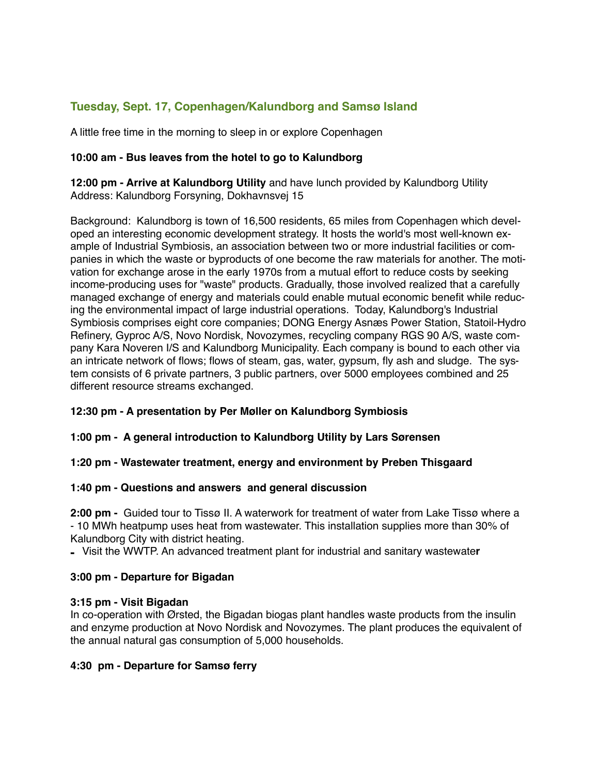# **Tuesday, Sept. 17, Copenhagen/Kalundborg and Samsø Island**

A little free time in the morning to sleep in or explore Copenhagen

# **10:00 am - Bus leaves from the hotel to go to Kalundborg**

**12:00 pm - Arrive at Kalundborg Utility** and have lunch provided by Kalundborg Utility Address: Kalundborg Forsyning, Dokhavnsvej 15

Background: Kalundborg is town of 16,500 residents, 65 miles from Copenhagen which developed an interesting economic development strategy. It hosts the world's most well-known example of Industrial Symbiosis, an association between two or more industrial facilities or companies in which the waste or byproducts of one become the raw materials for another. The motivation for exchange arose in the early 1970s from a mutual effort to reduce costs by seeking income-producing uses for "waste" products. Gradually, those involved realized that a carefully managed exchange of energy and materials could enable mutual economic benefit while reducing the environmental impact of large industrial operations. Today, Kalundborg's Industrial Symbiosis comprises eight core companies; DONG Energy Asnæs Power Station, Statoil-Hydro Refinery, Gyproc A/S, Novo Nordisk, Novozymes, recycling company RGS 90 A/S, waste company Kara Noveren I/S and Kalundborg Municipality. Each company is bound to each other via an intricate network of flows; flows of steam, gas, water, gypsum, fly ash and sludge. The system consists of 6 private partners, 3 public partners, over 5000 employees combined and 25 different resource streams exchanged.

## **12:30 pm - A presentation by Per Møller on Kalundborg Symbiosis**

## **1:00 pm - A general introduction to Kalundborg Utility by Lars Sørensen**

## **1:20 pm - Wastewater treatment, energy and environment by Preben Thisgaard**

## **1:40 pm - Questions and answers and general discussion**

**2:00 pm -** Guided tour to Tissø II. A waterwork for treatment of water from Lake Tissø where a - 10 MWh heatpump uses heat from wastewater. This installation supplies more than 30% of Kalundborg City with district heating.

**-** Visit the WWTP. An advanced treatment plant for industrial and sanitary wastewate**r**

## **3:00 pm - Departure for Bigadan**

## **3:15 pm - Visit Bigadan**

In co-operation with Ørsted, the Bigadan biogas plant handles waste products from the insulin and enzyme production at Novo Nordisk and Novozymes. The plant produces the equivalent of the annual natural gas consumption of 5,000 households.

## **4:30 pm - Departure for Samsø ferry**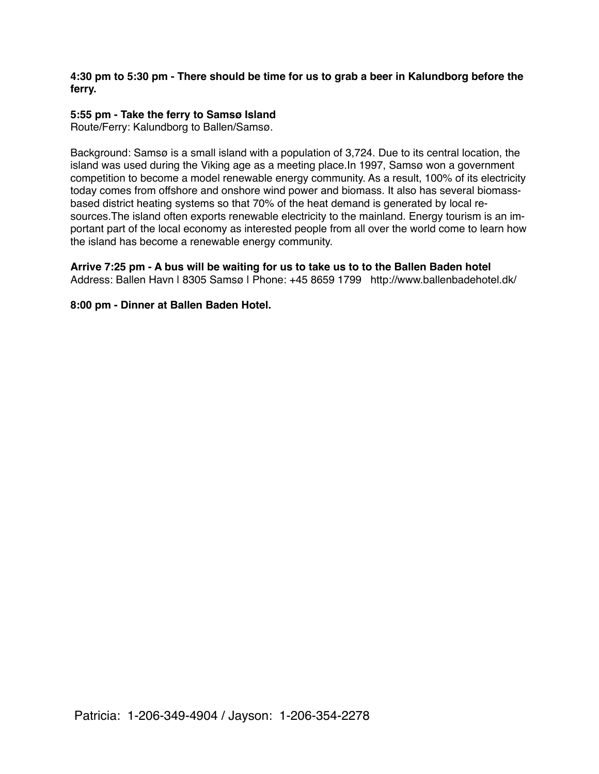## **4:30 pm to 5:30 pm - There should be time for us to grab a beer in Kalundborg before the ferry.**

# **5:55 pm - Take the ferry to Samsø Island**

Route/Ferry: Kalundborg to Ballen/Samsø.

Background: Samsø is a small island with a population of 3,724. Due to its central location, the island was used during the Viking age as a meeting place.In 1997, Samsø won a government competition to become a model renewable energy community. As a result, 100% of its electricity today comes from offshore and onshore wind power and biomass. It also has several biomassbased district heating systems so that 70% of the heat demand is generated by local resources.The island often exports renewable electricity to the mainland. Energy tourism is an important part of the local economy as interested people from all over the world come to learn how the island has become a renewable energy community.

**Arrive 7:25 pm - A bus will be waiting for us to take us to to the Ballen Baden hotel** Address: Ballen Havn I 8305 Samsø I Phone: +45 8659 1799 http://www.ballenbadehotel.dk/

## **8:00 pm - Dinner at Ballen Baden Hotel.**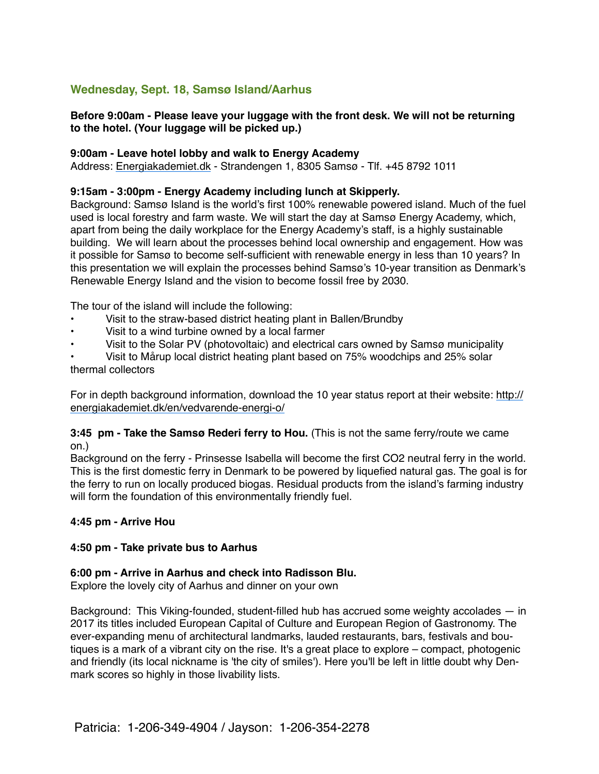# **Wednesday, Sept. 18, Samsø Island/Aarhus**

## **Before 9:00am - Please leave your luggage with the front desk. We will not be returning to the hotel. (Your luggage will be picked up.)**

### **9:00am - Leave hotel lobby and walk to Energy Academy**

Address: [Energiakademiet.dk](http://energiakademiet.dk/) - Strandengen 1, 8305 Samsø - Tlf. +45 8792 1011

## **9:15am - 3:00pm - Energy Academy including lunch at Skipperly.**

Background: Samsø Island is the world's first 100% renewable powered island. Much of the fuel used is local forestry and farm waste. We will start the day at Samsø Energy Academy, which, apart from being the daily workplace for the Energy Academy's staff, is a highly sustainable building. We will learn about the processes behind local ownership and engagement. How was it possible for Samsø to become self-sufficient with renewable energy in less than 10 years? In this presentation we will explain the processes behind Samsø's 10-year transition as Denmark's Renewable Energy Island and the vision to become fossil free by 2030.

The tour of the island will include the following:

- Visit to the straw-based district heating plant in Ballen/Brundby
- Visit to a wind turbine owned by a local farmer
- Visit to the Solar PV (photovoltaic) and electrical cars owned by Samsø municipality

• Visit to Mårup local district heating plant based on 75% woodchips and 25% solar thermal collectors

For in depth background information, download the 10 year status report at their website: [http://](http://energiakademiet.dk/en/vedvarende-energi-o/) [energiakademiet.dk/en/vedvarende-energi-o/](http://energiakademiet.dk/en/vedvarende-energi-o/)

## **3:45 pm - Take the Samsø Rederi ferry to Hou.** (This is not the same ferry/route we came on.)

Background on the ferry - Prinsesse Isabella will become the first CO2 neutral ferry in the world. This is the first domestic ferry in Denmark to be powered by liquefied natural gas. The goal is for the ferry to run on locally produced biogas. Residual products from the island's farming industry will form the foundation of this environmentally friendly fuel.

## **4:45 pm - Arrive Hou**

## **4:50 pm - Take private bus to Aarhus**

#### **6:00 pm - Arrive in Aarhus and check into Radisson Blu.**

Explore the lovely city of Aarhus and dinner on your own

Background: This Viking-founded, student-filled hub has accrued some weighty accolades — in 2017 its titles included European Capital of Culture and European Region of Gastronomy. The ever-expanding menu of architectural landmarks, lauded restaurants, bars, festivals and boutiques is a mark of a vibrant city on the rise. It's a great place to explore – compact, photogenic and friendly (its local nickname is 'the city of smiles'). Here you'll be left in little doubt why Denmark scores so highly in those livability lists.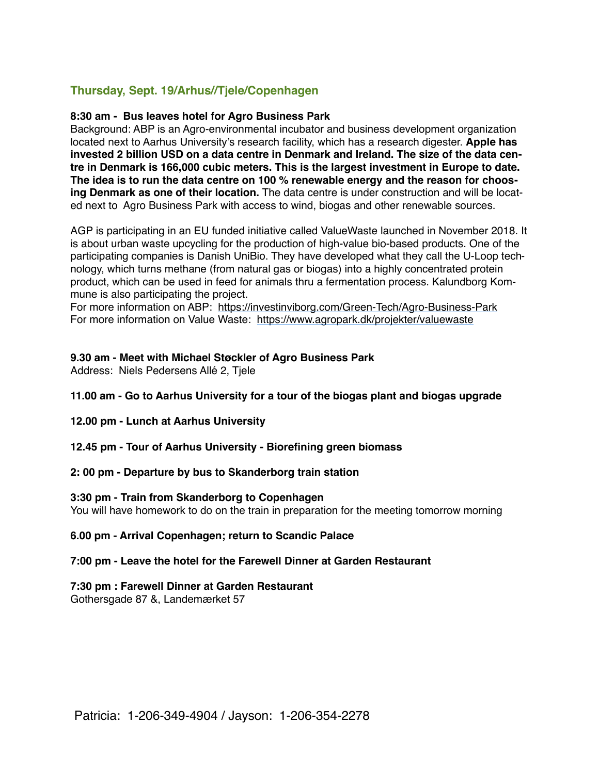# **Thursday, Sept. 19/Arhus//Tjele/Copenhagen**

### **8:30 am - Bus leaves hotel for Agro Business Park**

Background: ABP is an Agro-environmental incubator and business development organization located next to Aarhus University's research facility, which has a research digester. **Apple has invested 2 billion USD on a data centre in Denmark and Ireland. The size of the data centre in Denmark is 166,000 cubic meters. This is the largest investment in Europe to date. The idea is to run the data centre on 100 % renewable energy and the reason for choosing Denmark as one of their location.** The data centre is under construction and will be located next to Agro Business Park with access to wind, biogas and other renewable sources.

AGP is participating in an EU funded initiative called ValueWaste launched in November 2018. It is about urban waste upcycling for the production of high-value bio-based products. One of the participating companies is Danish UniBio. They have developed what they call the U-Loop technology, which turns methane (from natural gas or biogas) into a highly concentrated protein product, which can be used in feed for animals thru a fermentation process. Kalundborg Kommune is also participating the project.

For more information on ABP: <https://investinviborg.com/Green-Tech/Agro-Business-Park> For more information on Value Waste: <https://www.agropark.dk/projekter/valuewaste>

## **9.30 am - Meet with Michael Støckler of Agro Business Park**

Address: Niels Pedersens Allé 2, Tjele

- **11.00 am Go to Aarhus University for a tour of the biogas plant and biogas upgrade**
- **12.00 pm Lunch at Aarhus University**
- **12.45 pm Tour of Aarhus University Biorefining green biomass**
- **2: 00 pm Departure by bus to Skanderborg train station**

#### **3:30 pm - Train from Skanderborg to Copenhagen**

You will have homework to do on the train in preparation for the meeting tomorrow morning

#### **6.00 pm - Arrival Copenhagen; return to Scandic Palace**

## **7:00 pm - Leave the hotel for the Farewell Dinner at Garden Restaurant**

## **7:30 pm : Farewell Dinner at Garden Restaurant**

Gothersgade 87 &, Landemærket 57